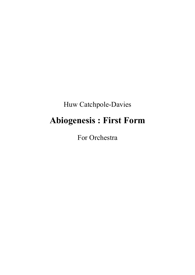# Huw Catchpole-Davies

# **Abiogenesis : First Form**

For Orchestra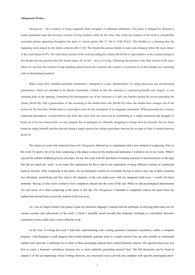i

#### **Abiogenesis Preface**

*Abiogenesis* – the evolution of living organisms from inorganic or inanimate substances. This piece is designed to illustrate a murky primordial soup that develops towards a living rhythmic entity by the close. One of the key features of the work is a breath-like crescendo gesture appearing throughout the piece in various guises (bb.1-2 /bb.11-12/bb.59-62). This doubles as a churning near the beginning when played by the whole orchestra (bb.17-20). This breath-like gesture builds to many anti-climaxes before the main climax of the work begins (b.97). The main dense section of the work preceding this climax (bb.68-96) is representative of the creature taking its first breath and the potential that this breath means for its life – now it *is* living. Following this portion is the final section of the piece where we can hear the creatures living heartbeat played across the orchestra; the creature's excitement at its first breaths now subsiding with its diminishing heartbeat.

While using fairly standard orchestral instruments I attempted to create "primordiality" by using pitch-class sets incorporating quartertones, which are intended to be played consistently. Further to this the orchestra is exploited gesturally and, largely, as one sounding body in the opening. Contrasting this homogenous use of the orchestra it is split into families during the section preceding the climax (bb.68-96) with a premonition of this occurring in the double-horn solo (bb.40-54) where the double-horn emerges out of the texture for the first time. Double-horn is a descriptive term for the conception of an imaginary instrument. While prescriptively a closely connected heterophony is heard between the Horn duo, their lines are conceived as contributing to a single instrument that struggles to break out of its own musical line; we may imagine this as analogous to a butterfly struggling to emerge from its chrysalis, the two horns being the single butterfly and the chrysalis being a single musical line sitting somewhere between the average of what is notated between bb.40-54.

The chance to work with orchestral forces for *Abiogenesis* allowed me to experiment with a new method of composing. Prior to this work I'd spent a lot of my time composing at the piano to discover the pitches and harmonies I wished to use in my works. While I enjoyed the audible feedback given by the piano, for me, this came with the drawback of creating moments of inconsistencies on the page that did not match the 'score' in my head. My explanation for this is that in my exploration of many different versions of a particular musical moment, while composing at the piano, my psychological reaction to eventually having to choose only one of these moments was ultimately unsatisfying and thus lead to the disparity of the real single-score with my imagined multi-score. I would call these moments 'fluxing' as they never seemed to have completely phased into the score of the real. While an odd psychological phenomenon I'm still aware of it when composing at the piano to this day. For *Abiogenesis* I intended to completely remove the piano from my method and instead focus on just the creation of the real score.

As I was no longer bound to the piano to gain my harmonic language I instead used the technique of selecting pitch-class sets for

various sections and subsections of the work. I found I naturally aimed towards this harmonic technique to consolidate harmonic consistency across small-scale events within the work.

At the time of writing this work I had been experimenting with creating generative harmonic consistency within a computer program. I had designed a small program that would randomly generate notes in a single musical line one after another at constrained random time intervals. Combining two or more of these generating musical lines created harmonic interest. The question that arose was how to create a harmonic consistency between two or more randomly generating musical lines. The full discussion can be found in chapter 2 of the accompanying critical writing; however, my conclusion was to provide the computer with specific predesigned pitch-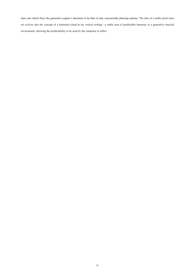# ii

class sets which force the generative engine's decisions to be that of only concurrently pleasing options. The idea of a stable pitch-class set evolves into the concept of a harmonic-cloud in my critical writing—a stable area of predictable harmony in a generative musical environment, allowing the predictability to be used by the composer to affect.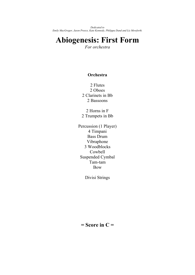*Dedicated to Emily MacGregor, Jason Preece, Kate Kennedy, Philippa Dand and Liz Mowforth.*

# **Abiogenesis: First Form**

*For orchestra*

## **Orchestra**

2 Flutes 2 Oboes 2 Clarinets in Bb 2 Bassoons

2 Horns in F 2 Trumpets in Bb

Percussion (1 Player) 4 Timpani Bass Drum Vibraphone 3 Woodblocks Cowbell Suspended Cymbal Tam-tam Bow

Divisi Strings

**= Score in C =**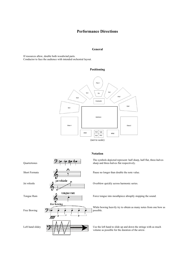### **Performance Directions**

#### **General**

If resources allow, double both woodwind parts. Conductor to face the audience with intended orchestral layout.

#### **Positioning**



#### **Notation**

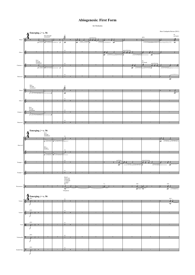## **Abiogenesis: First Form**





f ' >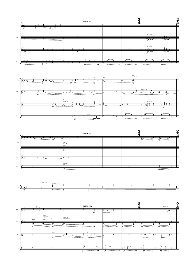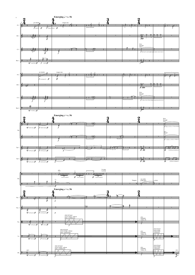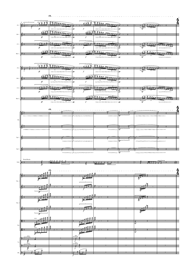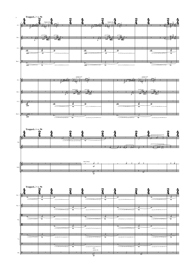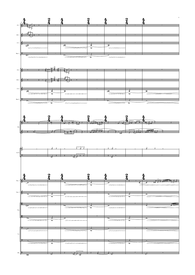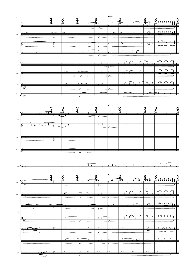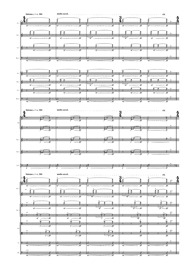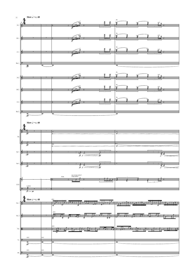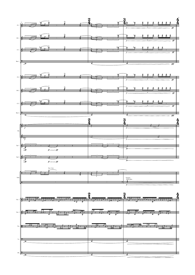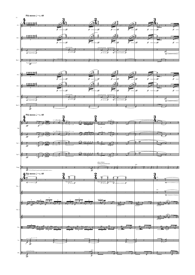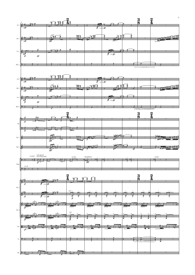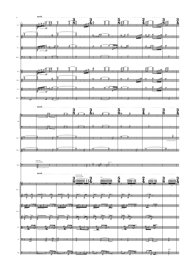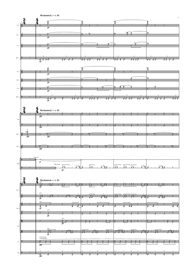

**Mechanical**  $\sqrt{ }$  = c. 81